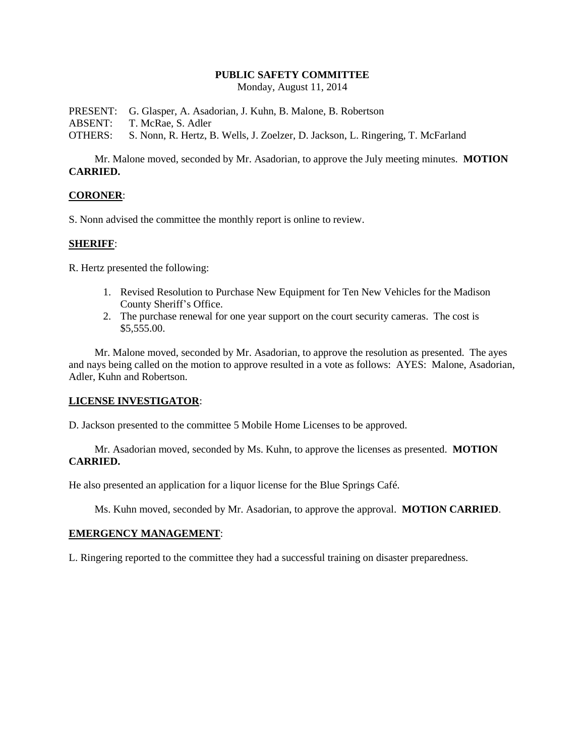#### **PUBLIC SAFETY COMMITTEE**

Monday, August 11, 2014

PRESENT: G. Glasper, A. Asadorian, J. Kuhn, B. Malone, B. Robertson

ABSENT: T. McRae, S. Adler

OTHERS: S. Nonn, R. Hertz, B. Wells, J. Zoelzer, D. Jackson, L. Ringering, T. McFarland

Mr. Malone moved, seconded by Mr. Asadorian, to approve the July meeting minutes. **MOTION CARRIED.**

#### **CORONER**:

S. Nonn advised the committee the monthly report is online to review.

## **SHERIFF**:

R. Hertz presented the following:

- 1. Revised Resolution to Purchase New Equipment for Ten New Vehicles for the Madison County Sheriff's Office.
- 2. The purchase renewal for one year support on the court security cameras. The cost is \$5,555.00.

Mr. Malone moved, seconded by Mr. Asadorian, to approve the resolution as presented. The ayes and nays being called on the motion to approve resulted in a vote as follows: AYES: Malone, Asadorian, Adler, Kuhn and Robertson.

## **LICENSE INVESTIGATOR**:

D. Jackson presented to the committee 5 Mobile Home Licenses to be approved.

Mr. Asadorian moved, seconded by Ms. Kuhn, to approve the licenses as presented. **MOTION CARRIED.** 

He also presented an application for a liquor license for the Blue Springs Café.

Ms. Kuhn moved, seconded by Mr. Asadorian, to approve the approval. **MOTION CARRIED**.

### **EMERGENCY MANAGEMENT**:

L. Ringering reported to the committee they had a successful training on disaster preparedness.